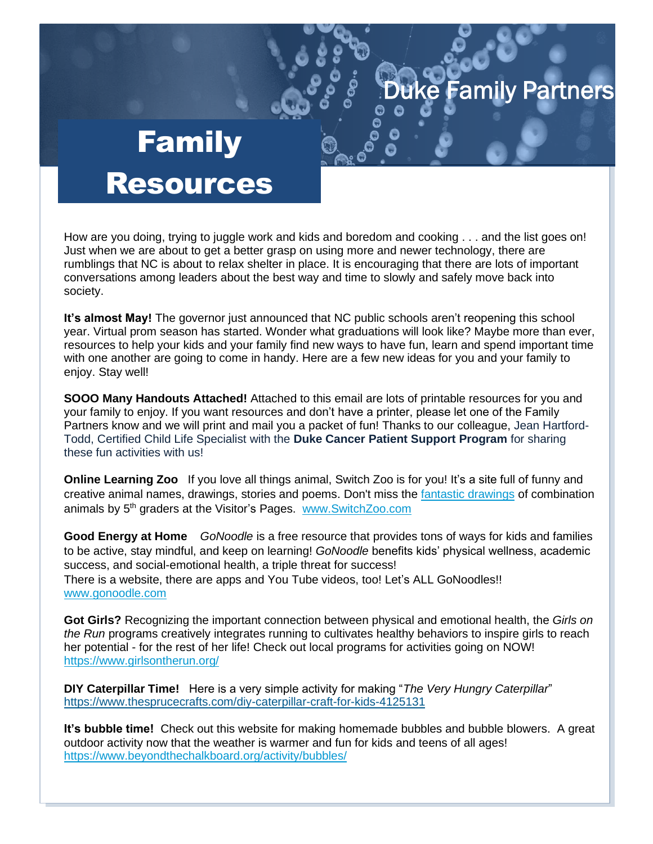## Partners

## Family Resources

How are you doing, trying to juggle work and kids and boredom and cooking . . . and the list goes on! Just when we are about to get a better grasp on using more and newer technology, there are rumblings that NC is about to relax shelter in place. It is encouraging that there are lots of important conversations among leaders about the best way and time to slowly and safely move back into society.

**It's almost May!** The governor just announced that NC public schools aren't reopening this school year. Virtual prom season has started. Wonder what graduations will look like? Maybe more than ever, resources to help your kids and your family find new ways to have fun, learn and spend important time with one another are going to come in handy. Here are a few new ideas for you and your family to enjoy. Stay well!

**SOOO Many Handouts Attached!** Attached to this email are lots of printable resources for you and your family to enjoy. If you want resources and don't have a printer, please let one of the Family Partners know and we will print and mail you a packet of fun! Thanks to our colleague, Jean Hartford-Todd, Certified Child Life Specialist with the **Duke Cancer Patient Support Program** for sharing these fun activities with us!

**Online Learning Zoo** If you love all things animal, Switch Zoo is for you! It's a site full of funny and creative animal names, drawings, stories and poems. Don't miss the [fantastic drawings](https://switchzoo.com/art/drawings01.htm) of combination animals by 5th graders at the Visitor's Pages. [www.SwitchZoo.com](http://www.switchzoo.com/)

**Good Energy at Home** *GoNoodle* is a free resource that provides tons of ways for kids and families to be active, stay mindful, and keep on learning! *GoNoodle* benefits kids' physical wellness, academic success, and social-emotional health, a triple threat for success! There is a website, there are apps and You Tube videos, too! Let's ALL GoNoodles!! [www.gonoodle.com](http://www.gonoodle.com/)

**Got Girls?** Recognizing the important connection between physical and emotional health, the *Girls on the Run* programs creatively integrates running to cultivates healthy behaviors to inspire girls to reach her potential - for the rest of her life! Check out local programs for activities going on NOW! <https://www.girlsontherun.org/>

**DIY Caterpillar Time!** Here is a very simple activity for making "*The Very Hungry Caterpillar*" <https://www.thesprucecrafts.com/diy-caterpillar-craft-for-kids-4125131>

**It's bubble time!** Check out this website for making homemade bubbles and bubble blowers. A great outdoor activity now that the weather is warmer and fun for kids and teens of all ages! <https://www.beyondthechalkboard.org/activity/bubbles/>